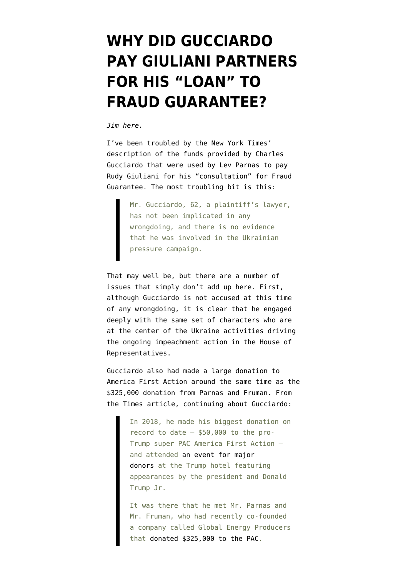## **[WHY DID GUCCIARDO](https://www.emptywheel.net/2019/11/08/why-did-gucciardo-pay-giuliani-partners-for-his-loan-to-fraud-guarantee/) [PAY GIULIANI PARTNERS](https://www.emptywheel.net/2019/11/08/why-did-gucciardo-pay-giuliani-partners-for-his-loan-to-fraud-guarantee/) [FOR HIS "LOAN" TO](https://www.emptywheel.net/2019/11/08/why-did-gucciardo-pay-giuliani-partners-for-his-loan-to-fraud-guarantee/) [FRAUD GUARANTEE?](https://www.emptywheel.net/2019/11/08/why-did-gucciardo-pay-giuliani-partners-for-his-loan-to-fraud-guarantee/)**

*Jim here.*

I've been troubled by the [New York Times'](https://www.nytimes.com/2019/11/06/us/politics/ukraine-giuliani-charles-gucciardo.html?searchResultPosition=1) [description](https://www.nytimes.com/2019/11/06/us/politics/ukraine-giuliani-charles-gucciardo.html?searchResultPosition=1) of the funds provided by Charles Gucciardo that were used by Lev Parnas to pay Rudy Giuliani for his "consultation" for Fraud Guarantee. The most troubling bit is this:

> Mr. Gucciardo, 62, a plaintiff's lawyer, has not been implicated in any wrongdoing, and there is no evidence that he was involved in the Ukrainian pressure campaign.

That may well be, but there are a number of issues that simply don't add up here. First, although Gucciardo is not accused at this time of any wrongdoing, it is clear that he engaged deeply with the same set of characters who are at the center of the Ukraine activities driving the ongoing impeachment action in the House of Representatives.

Gucciardo also had made a large donation to America First Action around the same time as the \$325,000 donation from Parnas and Fruman. From the Times article, continuing about Gucciardo:

> In 2018, he made his biggest donation on record to date — \$50,000 to the pro-Trump super PAC America First Action and attended [an event for major](https://www.nytimes.com/2018/06/20/us/politics/trump-donors-america-first.html?module=inline) [donors](https://www.nytimes.com/2018/06/20/us/politics/trump-donors-america-first.html?module=inline) at the Trump hotel featuring appearances by the president and Donald Trump Jr.

> It was there that he met Mr. Parnas and Mr. Fruman, who had recently co-founded a company called Global Energy Producers that [donated \\$325,000 to the PAC](https://docquery.fec.gov/cgi-bin/fecimg/?201807159115673127).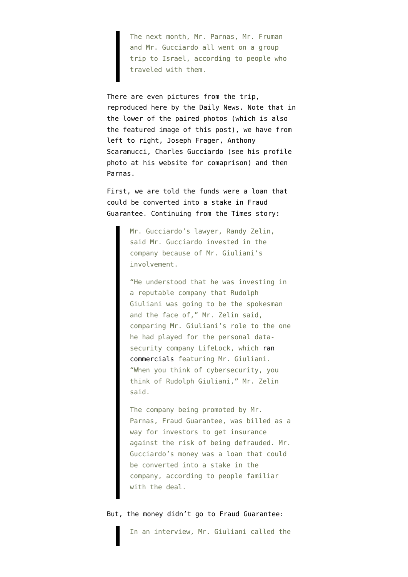The next month, Mr. Parnas, Mr. Fruman and Mr. Gucciardo all went on a group trip to Israel, according to people who traveled with them.

There are even pictures from the trip, reproduced [here](https://www.nydailynews.com/news/politics/ny-giuliani-ukraine-jewish-parnas-fruman-jewish-orthodox-chabad-20191016-3ixhmt7t6jbipn46uryaiouqxe-story.html) by the Daily News. Note that in the lower of the paired photos (which is also the featured image of this post), we have from left to right, Joseph Frager, Anthony Scaramucci, Charles Gucciardo (see his [profile](http://www.guccilaw.com/charles-s-gucciardo) [photo at his website](http://www.guccilaw.com/charles-s-gucciardo) for comaprison) and then Parnas.

First, we are told the funds were a loan that could be converted into a stake in Fraud Guarantee. Continuing from the Times story:

> Mr. Gucciardo's lawyer, Randy Zelin, said Mr. Gucciardo invested in the company because of Mr. Giuliani's involvement.

"He understood that he was investing in a reputable company that Rudolph Giuliani was going to be the spokesman and the face of," Mr. Zelin said, comparing Mr. Giuliani's role to the one he had played for the personal datasecurity company LifeLock, which [ran](https://www.youtube.com/watch?v=8JzSPuSqXc0) [commercials](https://www.youtube.com/watch?v=8JzSPuSqXc0) featuring Mr. Giuliani. "When you think of cybersecurity, you think of Rudolph Giuliani," Mr. Zelin said.

The company being promoted by Mr. Parnas, Fraud Guarantee, was billed as a way for investors to get insurance against the risk of being defrauded. Mr. Gucciardo's money was a loan that could be converted into a stake in the company, according to people familiar with the deal.

## But, the money didn't go to Fraud Guarantee:

In an interview, Mr. Giuliani called the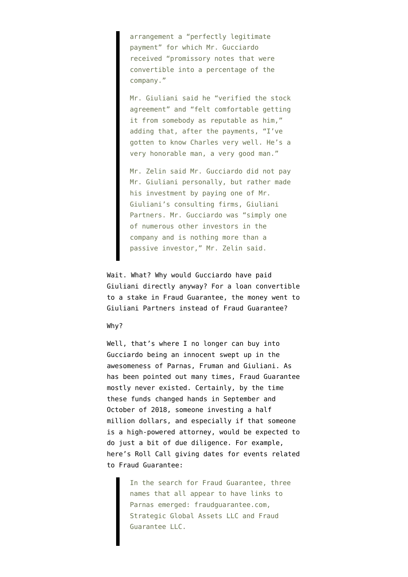arrangement a "perfectly legitimate payment" for which Mr. Gucciardo received "promissory notes that were convertible into a percentage of the company."

Mr. Giuliani said he "verified the stock agreement" and "felt comfortable getting it from somebody as reputable as him," adding that, after the payments, "I've gotten to know Charles very well. He's a very honorable man, a very good man."

Mr. Zelin said Mr. Gucciardo did not pay Mr. Giuliani personally, but rather made his investment by paying one of Mr. Giuliani's consulting firms, Giuliani Partners. Mr. Gucciardo was "simply one of numerous other investors in the company and is nothing more than a passive investor," Mr. Zelin said.

Wait. What? Why would Gucciardo have paid Giuliani directly anyway? For a loan convertible to a stake in Fraud Guarantee, the money went to Giuliani Partners instead of Fraud Guarantee?

## Why?

Well, that's where I no longer can buy into Gucciardo being an innocent swept up in the awesomeness of Parnas, Fruman and Giuliani. As has been pointed out many times, Fraud Guarantee mostly never existed. Certainly, by the time these funds changed hands in September and October of 2018, someone investing a half million dollars, and especially if that someone is a high-powered attorney, would be expected to do just a bit of due diligence. For example, here's [Roll Call](https://www.rollcall.com/news/congress/state-officials-dissolved-company-long-500k-deal-giuliani) giving dates for events related to Fraud Guarantee:

> In the search for Fraud Guarantee, three names that all appear to have links to Parnas emerged: fraudguarantee.com, Strategic Global Assets LLC and Fraud Guarantee LLC.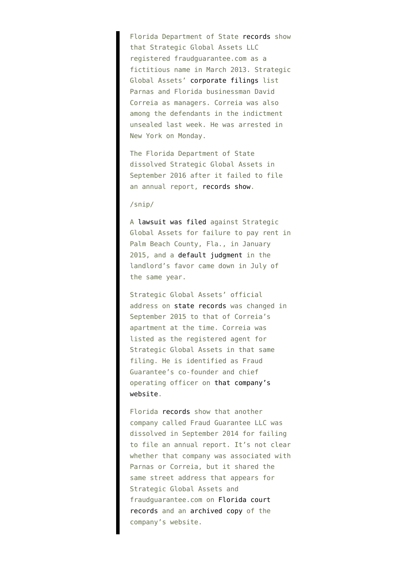Florida Department of State [records](http://dos.sunbiz.org/scripts/ficidet.exe?action=DETREG&docnum=G13000021498&rdocnum=G13000021498) show that Strategic Global Assets LLC registered fraudguarantee.com as a fictitious name in March 2013. Strategic Global Assets' [corporate filings](http://search.sunbiz.org/Inquiry/CorporationSearch/SearchResultDetail?inquirytype=EntityName&directionType=Initial&searchNameOrder=STRATEGICGLOBALASSETS%20L120001503980&aggregateId=flal-l12000150398-c7f3c638-5b59-4057-b198-10be6406cabd&searchTerm=strategic%20global%20assets&listNameOrder=STRATEGICGLOBALASSETS%20L120001503980) list Parnas and Florida businessman David Correia as managers. Correia was also among the defendants in the indictment unsealed last week. He was arrested in New York on Monday.

The Florida Department of State dissolved Strategic Global Assets in September 2016 after it failed to file an annual report, [records show.](http://search.sunbiz.org/Inquiry/CorporationSearch/SearchResultDetail?inquirytype=EntityName&directionType=Initial&searchNameOrder=STRATEGICGLOBALASSETS%20L120001503980&aggregateId=flal-l12000150398-c7f3c638-5b59-4057-b198-10be6406cabd&searchTerm=strategic%20global%20assets&listNameOrder=STRATEGICGLOBALASSETS%20L120001503980)

## /snip/

A [lawsuit was filed](https://www.documentcloud.org/documents/6473272-502015CA000719XXXXMB-5-2.html) against Strategic Global Assets for failure to pay rent in Palm Beach County, Fla., in January 2015, and a [default judgment](https://www.documentcloud.org/documents/6472989-Nv-439-20796161-Img.html) in the landlord's favor came down in July of the same year.

Strategic Global Assets' official address on [state records](http://search.sunbiz.org/Inquiry/CorporationSearch/GetDocument?aggregateId=flal-l12000150398-c7f3c638-5b59-4057-b198-10be6406cabd&transactionId=l12000150398-re-050a8e97-74a3-4780-ade6-1f9236cb262a&formatType=PDF) was changed in September 2015 to that of Correia's apartment at the time. Correia was listed as the registered agent for Strategic Global Assets in that same filing. He is identified as Fraud Guarantee's co-founder and chief operating officer on [that company's](http://www.fraudguarantee.com/our-team.html) [website.](http://www.fraudguarantee.com/our-team.html)

Florida [records](http://search.sunbiz.org/Inquiry/CorporationSearch/SearchResultDetail?inquirytype=EntityName&directionType=Initial&searchNameOrder=FRAUDGUARANTEE%20L130001395770&aggregateId=flal-l13000139577-5801beb4-159f-40a6-a2c2-65392e8a7535&searchTerm=fraud%20guarantee&listNameOrder=FRAUDGUARANTEE%20L130001395770) show that another company called Fraud Guarantee LLC was dissolved in September 2014 for failing to file an annual report. It's not clear whether that company was associated with Parnas or Correia, but it shared the same street address that appears for Strategic Global Assets and fraudguarantee.com on [Florida court](https://www.documentcloud.org/documents/6473272-502015CA000719XXXXMB-5-2.html) [records](https://www.documentcloud.org/documents/6473272-502015CA000719XXXXMB-5-2.html) and an [archived copy](https://web.archive.org/web/20140517224456/http://fraudguarantee.com/) of the company's website.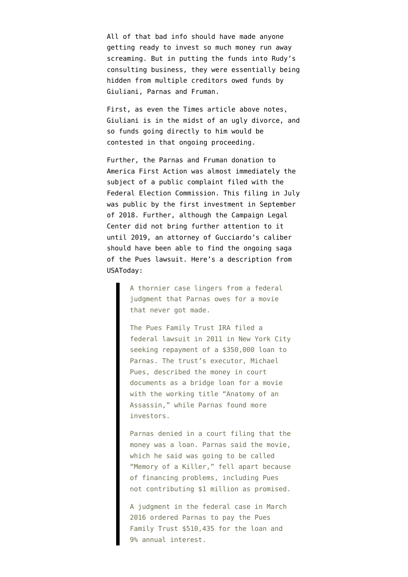All of that bad info should have made anyone getting ready to invest so much money run away screaming. But in putting the funds into Rudy's consulting business, they were essentially being hidden from multiple creditors owed funds by Giuliani, Parnas and Fruman.

First, as even the Times article above notes, Giuliani is in the midst of an [ugly divorce](https://www.nytimes.com/2019/09/13/nyregion/rudy-giuliani-divorce-judith-nathan.html), and so funds going directly to him would be contested in that ongoing proceeding.

Further, the Parnas and Fruman donation to America First Action was almost immediately the subject of a public complaint filed with the Federal Election Commission. [This filing in July](https://campaignlegal.org/sites/default/files/2018-07/SIGNED%2007-25-18%20GEP%20LLC%20Straw%20Donor%20Complaint.pdf) was public by the first investment in September of 2018. Further, although the Campaign Legal Center did not [bring further attention to it](https://campaignlegal.org/sites/default/files/2019-06/06-20-19%20GEP%20LLC%20supplement%20%28MUR%207442%29%20%28final%20with%20exhibits%29.pdf) until 2019, an attorney of Gucciardo's caliber should have been able to find the ongoing saga of the Pues lawsuit. Here's a [description from](https://www.usatoday.com/story/news/politics/2019/10/10/impeachment-inquiry-lev-parnas-igor-fruman-witness-list/3866159002/) [USAToday:](https://www.usatoday.com/story/news/politics/2019/10/10/impeachment-inquiry-lev-parnas-igor-fruman-witness-list/3866159002/)

> A thornier case lingers from a federal judgment that Parnas owes for a movie that never got made.

The Pues Family Trust IRA filed a federal lawsuit in 2011 in New York City seeking repayment of a \$350,000 loan to Parnas. The trust's executor, Michael Pues, described the money in court documents as a bridge loan for a movie with the working title "Anatomy of an Assassin," while Parnas found more investors.

Parnas denied in a court filing that the money was a loan. Parnas said the movie, which he said was going to be called "Memory of a Killer," fell apart because of financing problems, including Pues not contributing \$1 million as promised.

A judgment in the federal case in March 2016 ordered Parnas to pay the Pues Family Trust \$510,435 for the loan and 9% annual interest.